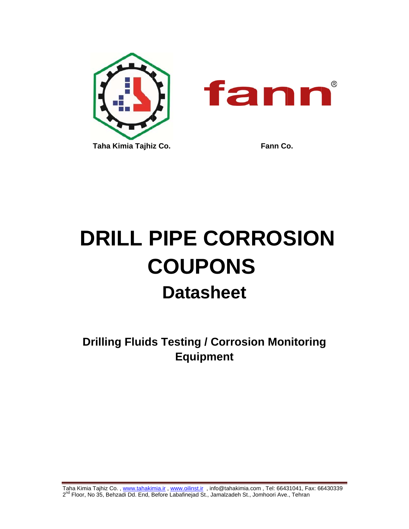

# **DRILL PIPE CORROSION COUPONS Datasheet**

**Drilling Fluids Testing / Corrosion Monitoring Equipment** 

Taha Kimia Tajhiz Co., www.tahakimia.ir, www.oilinst.ir, info@tahakimia.com, Tel: 66431041, Fax: 66430339 2<sup>nd</sup> Floor, No 35, Behzadi Dd. End, Before Labafinejad St., Jamalzadeh St., Jomhoori Ave., Tehran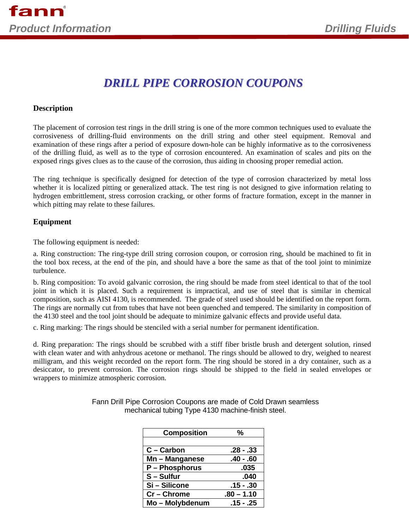# *DRILL PIPE CORROSION COUPONS*

### **Description**

The placement of corrosion test rings in the drill string is one of the more common techniques used to evaluate the corrosiveness of drilling-fluid environments on the drill string and other steel equipment. Removal and examination of these rings after a period of exposure down-hole can be highly informative as to the corrosiveness of the drilling fluid, as well as to the type of corrosion encountered. An examination of scales and pits on the exposed rings gives clues as to the cause of the corrosion, thus aiding in choosing proper remedial action.

The ring technique is specifically designed for detection of the type of corrosion characterized by metal loss whether it is localized pitting or generalized attack. The test ring is not designed to give information relating to hydrogen embrittlement, stress corrosion cracking, or other forms of fracture formation, except in the manner in which pitting may relate to these failures.

## **Equipment**

The following equipment is needed:

a. Ring construction: The ring-type drill string corrosion coupon, or corrosion ring, should be machined to fit in the tool box recess, at the end of the pin, and should have a bore the same as that of the tool joint to minimize turbulence.

b. Ring composition: To avoid galvanic corrosion, the ring should be made from steel identical to that of the tool joint in which it is placed. Such a requirement is impractical, and use of steel that is similar in chemical composition, such as AISI 4130, is recommended. The grade of steel used should be identified on the report form. The rings are normally cut from tubes that have not been quenched and tempered. The similarity in composition of the 4130 steel and the tool joint should be adequate to minimize galvanic effects and provide useful data.

c. Ring marking: The rings should be stenciled with a serial number for permanent identification.

d. Ring preparation: The rings should be scrubbed with a stiff fiber bristle brush and detergent solution, rinsed with clean water and with anhydrous acetone or methanol. The rings should be allowed to dry, weighed to nearest milligram, and this weight recorded on the report form. The ring should be stored in a dry container, such as a desiccator, to prevent corrosion. The corrosion rings should be shipped to the field in sealed envelopes or wrappers to minimize atmospheric corrosion.

| <b>Composition</b> | %            |
|--------------------|--------------|
|                    |              |
| C - Carbon         | $.28 - .33$  |
| Mn - Manganese     | $.40 - .60$  |
| P - Phosphorus     | .035         |
| S-Sulfur           | .040         |
| Si-Silicone        | .15 - .30    |
| $Cr -$ Chrome      | $.80 - 1.10$ |
| Mo - Molybdenum    | $.15 - .25$  |

Fann Drill Pipe Corrosion Coupons are made of Cold Drawn seamless mechanical tubing Type 4130 machine-finish steel.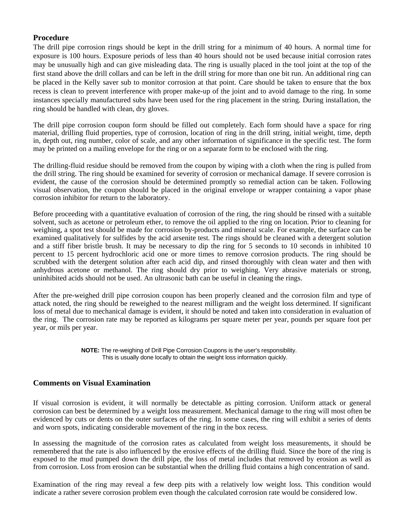#### **Procedure**

The drill pipe corrosion rings should be kept in the drill string for a minimum of 40 hours. A normal time for exposure is 100 hours. Exposure periods of less than 40 hours should not be used because initial corrosion rates may be unusually high and can give misleading data. The ring is usually placed in the tool joint at the top of the first stand above the drill collars and can be left in the drill string for more than one bit run. An additional ring can be placed in the Kelly saver sub to monitor corrosion at that point. Care should be taken to ensure that the box recess is clean to prevent interference with proper make-up of the joint and to avoid damage to the ring. In some instances specially manufactured subs have been used for the ring placement in the string. During installation, the ring should be handled with clean, dry gloves.

The drill pipe corrosion coupon form should be filled out completely. Each form should have a space for ring material, drilling fluid properties, type of corrosion, location of ring in the drill string, initial weight, time, depth in, depth out, ring number, color of scale, and any other information of significance in the specific test. The form may be printed on a mailing envelope for the ring or on a separate form to be enclosed with the ring.

The drilling-fluid residue should be removed from the coupon by wiping with a cloth when the ring is pulled from the drill string. The ring should be examined for severity of corrosion or mechanical damage. If severe corrosion is evident, the cause of the corrosion should be determined promptly so remedial action can be taken. Following visual observation, the coupon should be placed in the original envelope or wrapper containing a vapor phase corrosion inhibitor for return to the laboratory.

Before proceeding with a quantitative evaluation of corrosion of the ring, the ring should be rinsed with a suitable solvent, such as acetone or petroleum ether, to remove the oil applied to the ring on location. Prior to cleaning for weighing, a spot test should be made for corrosion by-products and mineral scale. For example, the surface can be examined qualitatively for sulfides by the acid arsenite test. The rings should be cleaned with a detergent solution and a stiff fiber bristle brush. It may be necessary to dip the ring for 5 seconds to 10 seconds in inhibited 10 percent to 15 percent hydrochloric acid one or more times to remove corrosion products. The ring should be scrubbed with the detergent solution after each acid dip, and rinsed thoroughly with clean water and then with anhydrous acetone or methanol. The ring should dry prior to weighing. Very abrasive materials or strong, uninhibited acids should not be used. An ultrasonic bath can be useful in cleaning the rings.

After the pre-weighed drill pipe corrosion coupon has been properly cleaned and the corrosion film and type of attack noted, the ring should be reweighed to the nearest milligram and the weight loss determined. If significant loss of metal due to mechanical damage is evident, it should be noted and taken into consideration in evaluation of the ring. The corrosion rate may be reported as kilograms per square meter per year, pounds per square foot per year, or mils per year.

> **NOTE:** The re-weighing of Drill Pipe Corrosion Coupons is the user's responsibility. This is usually done locally to obtain the weight loss information quickly.

#### **Comments on Visual Examination**

If visual corrosion is evident, it will normally be detectable as pitting corrosion. Uniform attack or general corrosion can best be determined by a weight loss measurement. Mechanical damage to the ring will most often be evidenced by cuts or dents on the outer surfaces of the ring. In some cases, the ring will exhibit a series of dents and worn spots, indicating considerable movement of the ring in the box recess.

In assessing the magnitude of the corrosion rates as calculated from weight loss measurements, it should be remembered that the rate is also influenced by the erosive effects of the drilling fluid. Since the bore of the ring is exposed to the mud pumped down the drill pipe, the loss of metal includes that removed by erosion as well as from corrosion. Loss from erosion can be substantial when the drilling fluid contains a high concentration of sand.

Examination of the ring may reveal a few deep pits with a relatively low weight loss. This condition would indicate a rather severe corrosion problem even though the calculated corrosion rate would be considered low.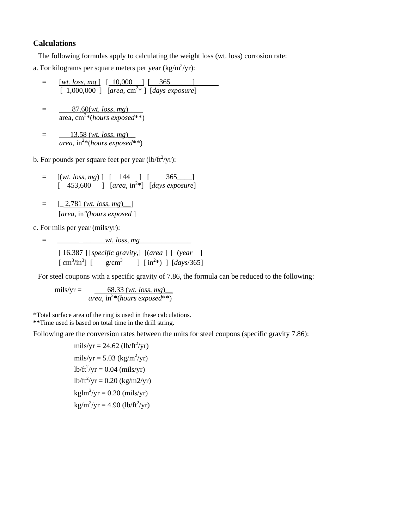#### **Calculations**

The following formulas apply to calculating the weight loss (wt. loss) corrosion rate:

a. For kilograms per square meters per year  $\frac{\text{kg}}{m^2}$ yr):

$$
= \frac{[wt. loss, mg]}{[1,000,000]} \frac{[10,000]}{[area, cm2 *} \frac{365}{[days exposure]}
$$

$$
= \frac{87.60(wt. loss, mg)}{\text{area, cm}^{2}*(hours exposed**)}
$$

$$
= \frac{13.58 \text{ (wt. loss, mg)}}{\text{area, in}^{2*}(\text{hours exposed}^{**})}
$$

b. For pounds per square feet per year  $(lb/ft^2/yr)$ :

$$
= [(\text{wt. loss, mg})] [-144] [-365]
$$
  
[ 453,600 ] [area, in<sup>2</sup>\*] [days exposure]

 $=$  [ 2,781 (*wt. loss, mg*) ] [*area*, in*"(hours exposed* ]

c. For mils per year (mils/yr):

= \_\_\_\_\_\_ \_\_\_\_\_\_*wt. loss, mg*\_\_\_\_\_\_\_\_\_\_\_\_\_\_

 [ 16,387 ] [*specific gravity*,] [(*area* ] [ (*year* ]  $\left[ \text{ cm}^3/\text{in}^3 \right]$  $\int$  [ g/cm<sup>3</sup> ]  $\int$  [ in<sup>2</sup>\*) ] [*days*/365]

For steel coupons with a specific gravity of 7.86, the formula can be reduced to the following:

mils/yr =  $\frac{68.33 \, (wt. \, loss, \, mg)}{}$ *area*, in2 \*(*hours exposed*\*\*)

\*Total surface area of the ring is used in these calculations. **\*\***Time used is based on total time in the drill string.

Following are the conversion rates between the units for steel coupons (specific gravity 7.86):

mils/yr = 24.62 (lb/ft2 /yr) mils/yr = 5.03 (kg/m2 /yr) lb/ft<sup>2</sup> /yr = 0.04 (mils/yr) lb/ft<sup>2</sup> /yr = 0.20 (kg/m2/yr) kglm2 /yr = 0.20 (mils/yr) kg/m2 /yr = 4.90 (lb/ft2 /yr)